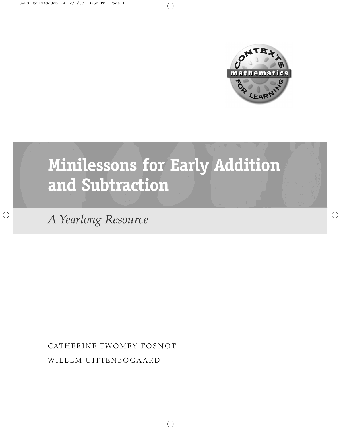

## **Minilessons for Early Addition and Subtraction**

*A Yearlong Resource*

CATHERINE TWOMEY FOSNOT WILLEM UITTENBOGAARD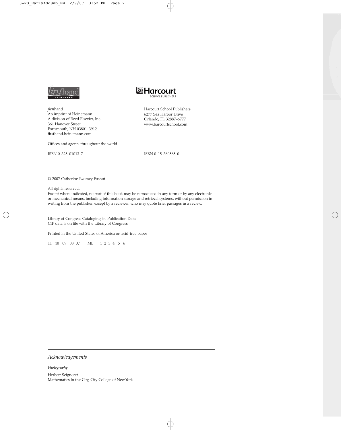

*first*hand An imprint of Heinemann A division of Reed Elsevier, Inc. 361 Hanover Street Portsmouth, NH 03801–3912 firsthand.heinemann.com

Offices and agents throughout the world

ISBN 0-325-01013-7

ISBN 0-15-360565-0

Harcourt School Publishers 6277 Sea Harbor Drive Orlando, FL 32887–6777 www.harcourtschool.com

**&Harcourt** 

© 2007 Catherine Twomey Fosnot

All rights reserved.

Except where indicated, no part of this book may be reproduced in any form or by any electronic or mechanical means, including information storage and retrieval systems, without permission in writing from the publisher, except by a reviewer, who may quote brief passages in a review.

Library of Congress Cataloging-in-Publication Data CIP data is on file with the Library of Congress

Printed in the United States of America on acid-free paper

11 10 09 08 07 ML 1 2 3 4 5 6

*Acknowledgements*

*Photography* Herbert Seignoret Mathematics in the City, City College of New York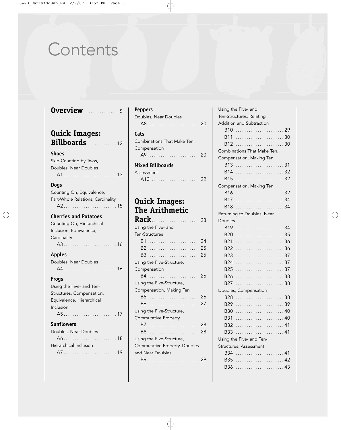## **Contents**

## **Overview** ................ <sup>5</sup>

## **Quick Images: Billboards** ............ <sup>12</sup>

#### **Shoes**

Skip-Counting by Twos, Doubles, Near Doubles A1 ........................ 13

#### **Dogs**

| Counting On, Equivalence,         |  |
|-----------------------------------|--|
| Part-Whole Relations, Cardinality |  |
|                                   |  |

### **Cherries and Potatoes**

Counting On, Hierarchical Inclusion, Equivalence, **Cardinality** A3 ........................ 16

#### **Apples**

Doubles, Near Doubles A4 ........................ 16

#### **Frogs**

Using the Five- and Ten-Structures, Compensation, Equivalence, Hierarchical Inclusion A5 ........................ 17

#### **Sunflowers**

| Doubles, Near Doubles  |  |
|------------------------|--|
|                        |  |
| Hierarchical Inclusion |  |
|                        |  |

## **Peppers**  Doubles, Near Doubles A8 ........................ 20 **Cats**

| <b>Lats</b>                 |
|-----------------------------|
| Combinations That Make Ten, |
| Compensation                |
|                             |

**Mixed Billboards** Assessment A10 ...................... 22

## **Quick Images: The Arithmetic**

| Rack23                        |  |
|-------------------------------|--|
| Using the Five- and           |  |
| <b>Ten-Structures</b>         |  |
|                               |  |
|                               |  |
|                               |  |
| Using the Five-Structure,     |  |
| Compensation                  |  |
|                               |  |
| Using the Five-Structure,     |  |
| Compensation, Making Ten      |  |
|                               |  |
|                               |  |
| Using the Five-Structure,     |  |
| <b>Commutative Property</b>   |  |
|                               |  |
|                               |  |
| Using the Five-Structure,     |  |
| Commutative Property, Doubles |  |
| and Near Doubles              |  |
|                               |  |
|                               |  |

| Using the Five- and         |  |  |
|-----------------------------|--|--|
| Ten-Structures, Relating    |  |  |
| Addition and Subtraction    |  |  |
| B10 -                       |  |  |
| B11                         |  |  |
| <b>B12</b>                  |  |  |
| Combinations That Make Ten, |  |  |
| Compensation, Making Ten    |  |  |
| <b>B13</b>                  |  |  |
| B14                         |  |  |
| <b>B15</b>                  |  |  |
| Compensation, Making Ten    |  |  |
| <b>B16</b>                  |  |  |
| B17                         |  |  |
| <b>B18</b>                  |  |  |
| Returning to Doubles, Near  |  |  |
| Doubles                     |  |  |
| <b>B19</b>                  |  |  |
| <b>B20</b>                  |  |  |
| <b>B21</b>                  |  |  |
| <b>B22</b>                  |  |  |
| <b>B23</b>                  |  |  |
| <b>B24</b>                  |  |  |
| <b>B25</b>                  |  |  |
| <b>B26</b>                  |  |  |
| <b>B27</b>                  |  |  |
| Doubles, Compensation       |  |  |
| <b>B28</b>                  |  |  |
| <b>B29</b>                  |  |  |
| <b>B30</b>                  |  |  |
| <b>B31</b>                  |  |  |
| <b>B32</b>                  |  |  |
| <b>B33</b>                  |  |  |
| Using the Five- and Ten-    |  |  |
| Structures, Assessment      |  |  |
| B34 I                       |  |  |
| <b>B35</b>                  |  |  |
| B36                         |  |  |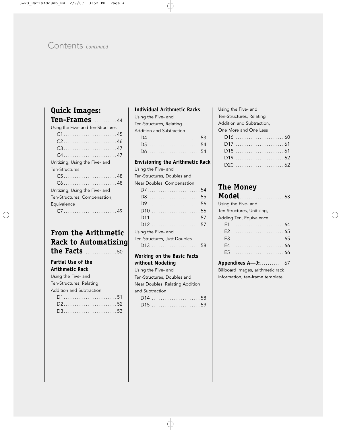## Contents *Continued*

## **Quick Images: Ten-Frames** .......... <sup>44</sup>

Using the Five- and Ten-Structures

| Unitizing, Using the Five- and |
|--------------------------------|
| Ten-Structures                 |
|                                |
|                                |
| Unitizing, Using the Five- and |
| Ten-Structures, Compensation,  |
| Equivalence                    |
|                                |

## **From the Arithmetic Rack to Automatizing the Facts** .............. <sup>50</sup>

### **Partial Use of the Arithmetic Rack**

Using the Five- and Ten-Structures, Relating Addition and Subtraction

| D151 |  |
|------|--|
|      |  |
|      |  |

## **Individual Arithmetic Racks**

| Using the Five- and      |
|--------------------------|
| Ten-Structures, Relating |
| Addition and Subtraction |
|                          |
|                          |
|                          |

**Envisioning the Arithmetic Rack** Using the Five- and Ten-Structures, Doubles and Near Doubles, Compensation D7........................ 54 D8........................ 55 D9........................ 56 D10 ...................... 56 D11 ...................... 57 D12 ...................... 57 Using the Five- and

Ten-Structures, Just Doubles D13 ...................... 58

## **Working on the Basic Facts without Modeling**

Using the Five- and Ten-Structures, Doubles and Near Doubles, Relating Addition and Subtraction

| Using the Five- and       |
|---------------------------|
| Ten-Structures, Relating  |
| Addition and Subtraction, |
| One More and One Less     |
|                           |
|                           |
|                           |
|                           |
|                           |

## **The Money Model** 2

| .                                 |  |  |
|-----------------------------------|--|--|
| Using the Five- and               |  |  |
| Ten-Structures, Unitizing,        |  |  |
| Adding Ten, Equivalence           |  |  |
|                                   |  |  |
|                                   |  |  |
|                                   |  |  |
|                                   |  |  |
|                                   |  |  |
| Appendixes A-J:  67               |  |  |
| Billboard images, arithmetic rack |  |  |
| information, ten-frame template   |  |  |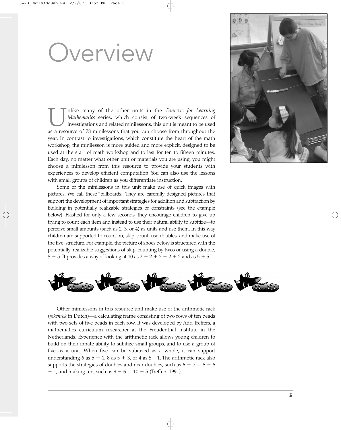# Overview

nlike many of the other units in the Contexts for Learning *Mathematics* series, which consist of two-week sequences of investigations and related minilessons, this unit is meant to be used as a resource of 78 minilessons that you can choose from throughout the year. In contrast to investigations, which constitute the heart of the math workshop, the minilesson is more guided and more explicit, designed to be used at the start of math workshop and to last for ten to fifteen minutes. Each day, no matter what other unit or materials you are using, you might choose a minilesson from this resource to provide your students with experiences to develop efficient computation. You can also use the lessons with small groups of children as you differentiate instruction.

Some of the minilessons in this unit make use of quick images with pictures. We call these "billboards."They are carefully designed pictures that support the development of important strategies for addition and subtraction by building in potentially realizable strategies or constraints (see the example below). Flashed for only a few seconds, they encourage children to give up trying to count each item and instead to use their natural ability to subitize—to perceive small amounts (such as 2, 3, or 4) as units and use them. In this way children are supported to count on, skip-count, use doubles, and make use of the five-structure. For example, the picture of shoes below is structured with the potentially-realizable suggestions of skip-counting by twos or using a double,  $5 + 5$ . It provides a way of looking at  $10$  as  $2 + 2 + 2 + 2 + 2$  and as  $5 + 5$ .





Other minilessons in this resource unit make use of the arithmetic rack (*rekenrek* in Dutch)—a calculating frame consisting of two rows of ten beads with two sets of five beads in each row. It was developed by Adri Treffers, a mathematics curriculum researcher at the Freudenthal Institute in the Netherlands. Experience with the arithmetic rack allows young children to build on their innate ability to subitize small groups, and to use a group of five as a unit. When five can be subitized as a whole, it can support understanding 6 as 5  $+$  1, 8 as 5  $+$  3, or 4 as 5 – 1. The arithmetic rack also supports the strategies of doubles and near doubles, such as  $6 + 7 = 6 + 6$  $+$  1, and making ten, such as  $9 + 6 = 10 + 5$  (Treffers 1991).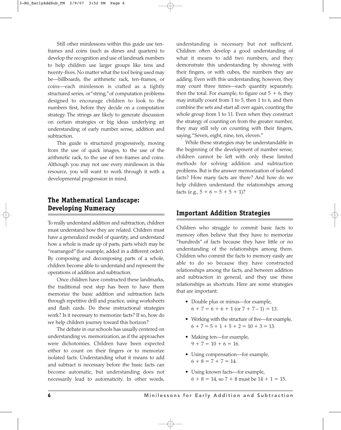Still other minilessons within this guide use tenframes and coins (such as dimes and quarters) to develop the recognition and use of landmark numbers to help children use larger groups like tens and twenty-fives. No matter what the tool being used may be—billboards, the arithmetic rack, ten-frames, or coins—each minilesson is crafted as a tightly structured series, or "string,"of computation problems designed to encourage children to look to the numbers first, before they decide on a computation strategy. The strings are likely to generate discussion on certain strategies or big ideas underlying an understanding of early number sense, addition and subtraction.

This guide is structured progressively, moving from the use of quick images, to the use of the arithmetic rack, to the use of ten-frames and coins. Although you may not use every minilesson in this resource, you will want to work through it with a developmental progression in mind.

## **The Mathematical Landscape: Developing Numeracy**

To really understand addition and subtraction, children must understand how they are related. Children must have a generalized model of quantity, and understand how a whole is made up of parts, parts which may be "rearranged"(for example, added in a different order). By composing and decomposing parts of a whole, children become able to understand and represent the operations of addition and subtraction.

Once children have constructed these landmarks, the traditional next step has been to have them memorize the basic addition and subtraction facts through repetitive drill and practice, using worksheets and flash cards. Do these instructional strategies work? Is it necessary to memorize facts? If so, how do we help children journey toward this horizon?

The debate in our schools has usually centered on understanding vs. memorization, as if the approaches were dichotomies. Children have been expected either to count on their fingers or to memorize isolated facts. Understanding what it means to add and subtract is necessary before the basic facts can become automatic, but understanding does not necessarily lead to automaticity. In other words, understanding is necessary but not sufficient. Children often develop a good understanding of what it means to add two numbers, and they demonstrate this understanding by showing with their fingers, or with cubes, the numbers they are adding. Even with this understanding, however, they may count three times—each quantity separately, then the total. For example, to figure out  $5 + 6$ , they may initially count from 1 to 5, then 1 to 6, and then combine the sets and start all over again, counting the whole group from 1 to 11. Even when they construct the strategy of counting on from the greater number, they may still rely on counting with their fingers, saying,"Seven, eight, nine, ten, eleven."

While these strategies may be understandable in the beginning of the development of number sense, children cannot be left with only these limited methods for solving addition and subtraction problems. But is the answer memorization of isolated facts? How many facts are there? And how do we help children understand the relationships among facts (e.g.,  $5 + 6 = 5 + 5 + 1$ )?

### **Important Addition Strategies**

Children who struggle to commit basic facts to memory often believe that they have to memorize "hundreds" of facts because they have little or no understanding of the relationships among them. Children who commit the facts to memory easily are able to do so because they have constructed relationships among the facts, and between addition and subtraction in general, and they use these relationships as shortcuts. Here are some strategies that are important:

- Double plus or minus—for example,  $6 + 7 = 6 + 6 + 1$  (or  $7 + 7 - 1$ ) = 13.
- Working with the structure of five—for example,  $6 + 7 = 5 + 1 + 5 + 2 = 10 + 3 = 13.$
- Making ten—for example,  $9 + 7 = 10 + 6 = 16.$
- Using compensation—for example,  $6 + 8 = 7 + 7 = 14.$
- Using known facts—for example,  $6 + 8 = 14$ , so  $7 + 8$  must be  $14 + 1 = 15$ .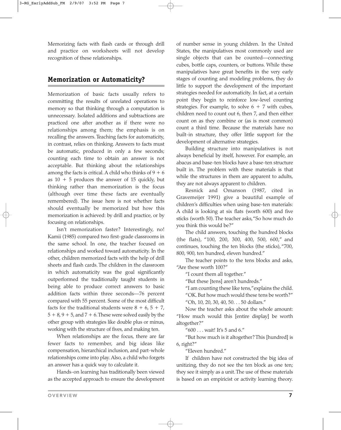Memorizing facts with flash cards or through drill and practice on worksheets will not develop recognition of these relationships.

## **Memorization or Automaticity?**

Memorization of basic facts usually refers to committing the results of unrelated operations to memory so that thinking through a computation is unnecessary. Isolated additions and subtractions are practiced one after another as if there were no relationships among them; the emphasis is on recalling the answers. Teaching facts for automaticity, in contrast, relies on thinking. Answers to facts must be automatic, produced in only a few seconds; counting each time to obtain an answer is not acceptable. But thinking about the relationships among the facts is critical. A child who thinks of  $9 + 6$ as  $10 + 5$  produces the answer of 15 quickly, but thinking rather than memorization is the focus (although over time these facts are eventually remembered). The issue here is not whether facts should eventually be memorized but how this memorization is achieved: by drill and practice, or by focusing on relationships.

Isn't memorization faster? Interestingly, no! Kamii (1985) compared two first-grade classrooms in the same school. In one, the teacher focused on relationships and worked toward automaticity. In the other, children memorized facts with the help of drill sheets and flash cards. The children in the classroom in which automaticity was the goal significantly outperformed the traditionally taught students in being able to produce correct answers to basic addition facts within three seconds—76 percent compared with 55 percent. Some of the most difficult facts for the traditional students were  $8 + 6$ ,  $5 + 7$ ,  $5 + 8$ ,  $9 + 5$ , and  $7 + 6$ . These were solved easily by the other group with strategies like double plus or minus, working with the structure of fives, and making ten.

When relationships are the focus, there are far fewer facts to remember, and big ideas like compensation, hierarchical inclusion, and part-whole relationships come into play. Also, a child who forgets an answer has a quick way to calculate it.

Hands-on learning has traditionally been viewed as the accepted approach to ensure the development of number sense in young children. In the United States, the manipulatives most commonly used are single objects that can be counted—connecting cubes, bottle caps, counters, or buttons. While these manipulatives have great benefits in the very early stages of counting and modeling problems, they do little to support the development of the important strategies needed for automaticity. In fact, at a certain point they begin to reinforce low-level counting strategies. For example, to solve  $6 + 7$  with cubes, children need to count out 6, then 7, and then either count on as they combine or (as is most common) count a third time. Because the materials have no built-in structure, they offer little support for the development of alternative strategies.

Building structure into manipulatives is not always beneficial by itself, however. For example, an abacus and base-ten blocks have a base-ten structure built in. The problem with these materials is that while the structures in them are apparent to adults, they are not always apparent to children.

Resnick and Omanson (1987, cited in Gravemeijer 1991) give a beautiful example of children's difficulties when using base-ten materials: A child is looking at six flats (worth 600) and five sticks (worth 50). The teacher asks,"So how much do you think this would be?"

The child answers, touching the hundred blocks (the flats), "100, 200, 300, 400, 500, 600," and continues, touching the ten blocks (the sticks),"700, 800, 900, ten hundred, eleven hundred."

The teacher points to the tens blocks and asks, "Are these worth 100?"

"I count them all together."

"But these [tens] aren't hundreds."

"I am counting these like tens,"explains the child. "OK. But how much would these tens be worth?" "Oh, 10, 20, 30, 40, 50. . . 50 dollars."

Now the teacher asks about the whole amount: "How much would this [entire display] be worth altogether?"

"600 . . . wait! It's 5 and 6."

"But how much is it altogether? This [hundred] is 6, right?"

"Eleven hundred."

If children have not constructed the big idea of unitizing, they do not see the ten block as one ten; they see it simply as a unit. The use of these materials is based on an empiricist or activity learning theory.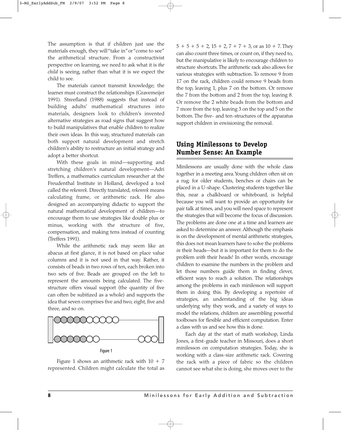The assumption is that if children just use the materials enough, they will "take in" or "come to see" the arithmetical structure. From a constructivist perspective on learning, we need to ask what it is *the child* is seeing, rather than what it is we expect the child to see.

The materials cannot transmit knowledge; the learner must construct the relationships (Gravemeijer 1991). Streefland (1988) suggests that instead of building adults' mathematical structures into materials, designers look to children's invented alternative strategies as road signs that suggest how to build manipulatives that enable children to realize their own ideas. In this way, structured materials can both support natural development and stretch children's ability to restructure an initial strategy and adopt a better shortcut.

With these goals in mind—supporting and stretching children's natural development—Adri Treffers, a mathematics curriculum researcher at the Freudenthal Institute in Holland, developed a tool called the *rekenrek*. Directly translated, *rekenrek* means calculating frame, or arithmetic rack. He also designed an accompanying didactic to support the natural mathematical development of children—to encourage them to use strategies like double plus or minus, working with the structure of five, compensation, and making tens instead of counting (Treffers 1991).

While the arithmetic rack may seem like an abacus at first glance, it is not based on place value columns and it is not used in that way. Rather, it consists of beads in two rows of ten, each broken into two sets of five. Beads are grouped on the left to represent the amounts being calculated. The fivestructure offers visual support (the quantity of five can often be subitized as a whole) and supports the idea that seven comprises five and two; eight, five and three, and so on.



Figure 1

Figure 1 shows an arithmetic rack with  $10 + 7$ represented. Children might calculate the total as

 $5 + 5 + 5 + 2$ ,  $15 + 2$ ,  $7 + 7 + 3$ , or as  $10 + 7$ . They can also count three times, or count on, if they need to, but the manipulative is likely to encourage children to structure shortcuts. The arithmetic rack also allows for various strategies with subtraction. To remove 9 from 17 on the rack, children could remove 9 beads from the top, leaving 1, plus 7 on the bottom. Or remove the 7 from the bottom and 2 from the top, leaving 8. Or remove the 2 white beads from the bottom and 7 more from the top, leaving 3 on the top and 5 on the bottom. The five- and ten-structures of the apparatus support children in envisioning the removal.

## **Using Minilessons to Develop Number Sense: An Example**

Minilessons are usually done with the whole class together in a meeting area.Young children often sit on a rug; for older students, benches or chairs can be placed in a U-shape. Clustering students together like this, near a chalkboard or whiteboard, is helpful because you will want to provide an opportunity for pair talk at times, and you will need space to represent the strategies that will become the focus of discussion. The problems are done one at a time and learners are asked to determine an answer. Although the emphasis is on the development of mental arithmetic strategies, this does not mean learners have to solve the problems *in* their heads—but it is important for them to do the problem *with* their heads! In other words, encourage children to examine the numbers in the problem and let those numbers guide them in finding clever, efficient ways to reach a solution. The relationships among the problems in each minilesson will support them in doing this. By developing a repertoire of strategies, an understanding of the big ideas underlying why they work, and a variety of ways to model the relations, children are assembling powerful toolboxes for flexible and efficient computation. Enter a class with us and see how this is done.

Each day at the start of math workshop, Linda Jones, a first-grade teacher in Missouri, does a short minilesson on computation strategies. Today, she is working with a class-size arithmetic rack. Covering the rack with a piece of fabric so the children cannot see what she is doing, she moves over to the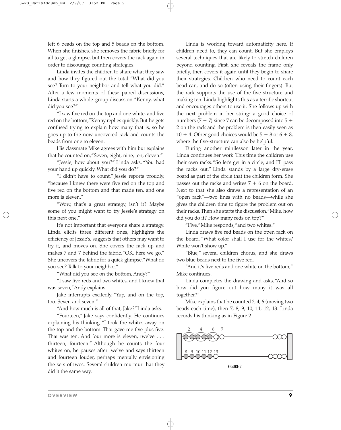left 6 beads on the top and 5 beads on the bottom. When she finishes, she removes the fabric briefly for all to get a glimpse, but then covers the rack again in order to discourage counting strategies.

Linda invites the children to share what they saw and how they figured out the total. "What did you see? Turn to your neighbor and tell what you did." After a few moments of these paired discussions, Linda starts a whole-group discussion."Kenny, what did you see?"

"I saw five red on the top and one white, and five red on the bottom,"Kenny replies quickly. But he gets confused trying to explain how many that is, so he goes up to the now uncovered rack and counts the beads from one to eleven.

His classmate Mike agrees with him but explains that he counted on,"Seven, eight, nine, ten, eleven."

"Jessie, how about you?" Linda asks. "You had your hand up quickly. What did you do?"

"I didn't have to count," Jessie reports proudly, "because I knew there were five red on the top and five red on the bottom and that made ten, and one more is eleven."

"Wow, that's a great strategy, isn't it? Maybe some of you might want to try Jessie's strategy on this next one."

It's not important that everyone share a strategy. Linda elicits three different ones, highlights the efficiency of Jessie's, suggests that others may want to try it, and moves on. She covers the rack up and makes 7 and 7 behind the fabric."OK, here we go." She uncovers the fabric for a quick glimpse."What do you see? Talk to your neighbor."

"What did you see on the bottom, Andy?"

"I saw five reds and two whites, and I knew that was seven,"Andy explains.

Jake interrupts excitedly. "Yup, and on the top, too. Seven and seven."

"And how much is all of that, Jake?"Linda asks.

"Fourteen," Jake says confidently. He continues explaining his thinking. "I took the whites away on the top and the bottom. That gave me five plus five. That was ten. And four more is eleven, twelve . . . thirteen, fourteen." Although he counts the four whites on, he pauses after twelve and says thirteen and fourteen louder, perhaps mentally envisioning the sets of twos. Several children murmur that they did it the same way.

Linda is working toward automaticity here. If children need to, they can count. But she employs several techniques that are likely to stretch children beyond counting. First, she reveals the frame only briefly, then covers it again until they begin to share their strategies. Children who need to count each bead can, and do so (often using their fingers). But the rack supports the use of the five-structure and making ten. Linda highlights this as a terrific shortcut and encourages others to use it. She follows up with the next problem in her string: a good choice of numbers  $(7 + 7)$  since 7 can be decomposed into  $5 +$ 2 on the rack and the problem is then easily seen as  $10 + 4$ . Other good choices would be  $5 + 8$  or  $6 + 8$ , where the five-structure can also be helpful.

During another minilesson later in the year, Linda continues her work. This time the children use their own racks."So let's get in a circle, and I'll pass the racks out." Linda stands by a large dry-erase board as part of the circle that the children form. She passes out the racks and writes  $7 + 6$  on the board. Next to that she also draws a representation of an "open rack"—two lines with no beads—while she gives the children time to figure the problem out on their racks.Then she starts the discussion."Mike, how did you do it? How many reds on top?"

"Five,"Mike responds,"and two whites."

Linda draws five red beads on the open rack on the board. "What color shall I use for the whites? White won't show up."

"Blue," several children chorus, and she draws two blue beads next to the five red.

"And it's five reds and one white on the bottom," Mike continues.

Linda completes the drawing and asks,"And so how did you figure out how many it was all together?"

Mike explains that he counted 2, 4, 6 (moving two beads each time), then 7, 8, 9, 10, 11, 12, 13. Linda records his thinking as in Figure 2.

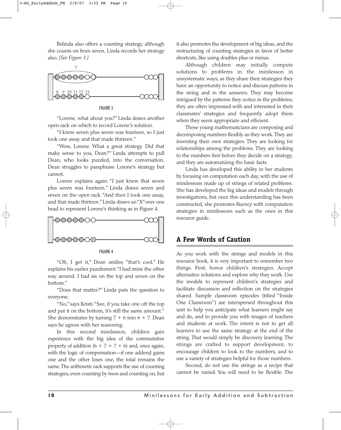Belinda also offers a counting strategy, although she counts on from seven. Linda records her strategy also. *[See Figure 3.]*



FIGURE 3

"Lorene, what about you?"Linda draws another open rack on which to record Lorene's solution.

"I knew seven plus seven was fourteen, so I just took one away and that made thirteen."

"Wow, Lorene. What a great strategy. Did that make sense to you, Dean?" Linda attempts to pull Dean, who looks puzzled, into the conversation. Dean struggles to paraphrase Lorene's strategy but cannot.

Lorene explains again. "I just knew that seven plus seven was fourteen." Linda draws seven and seven on the open rack."And then I took one away, and that made thirteen."Linda draws an "X"over one bead to represent Lorene's thinking as in Figure 4.



#### FIGURE 4

"Oh, I get it," Dean smiles; "that's cool." He explains his earlier puzzlement."I had mine the other way around. I had six on the top and seven on the bottom."

"Does that matter?" Linda puts the question to everyone.

"No,"says Kristi."See, if you take one off the top and put it on the bottom, it's still the same amount." She demonstrates by turning  $7 + 6$  into  $6 + 7$ . Dean says he agrees with her reasoning.

In this second minilesson, children gain experience with the big idea of the commutative property of addition  $(6 + 7 = 7 + 6)$  and, once again, with the logic of compensation—if one addend gains one and the other loses one, the total remains the same.The arithmetic rack supports the use of counting strategies, even counting by twos and counting on, but it also promotes the development of big ideas, and the restructuring of counting strategies in favor of better shortcuts, like using doubles plus or minus.

Although children may initially compute solutions to problems in the minilesson in unsystematic ways, as they share their strategies they have an opportunity to notice and discuss patterns in the string and in the answers. They may become intrigued by the patterns they notice in the problems; they are often impressed with and interested in their classmates' strategies and frequently adopt them when they seem appropriate and efficient.

These young mathematicians are composing and decomposing numbers flexibly as they work.They are inventing their own strategies. They are looking for relationships among the problems. They are looking to the numbers first before they decide on a strategy, and they are automatizing the basic facts.

Linda has developed this ability in her students by focusing on computation each day, with the use of minilessons made up of strings of related problems. She has developed the big ideas and models through investigations, but once this understanding has been constructed, she promotes fluency with computation strategies in minilessons such as the ones in this resource guide.

## **A Few Words of Caution**

As you work with the strings and models in this resource book, it is very important to remember two things. First, honor children's strategies. Accept alternative solutions and explore why they work. Use the models to represent children's strategies and facilitate discussion and reflection on the strategies shared. Sample classroom episodes (titled "Inside One Classroom") are interspersed throughout this unit to help you anticipate what learners might say and do, and to provide you with images of teachers and students at work. The intent is not to get all learners to use the same strategy at the end of the string. That would simply be discovery learning. The strings are crafted to support development, to encourage children to look to the numbers, and to use a variety of strategies helpful for those numbers.

Second, do not use the strings as a recipe that cannot be varied. You will need to be flexible. The